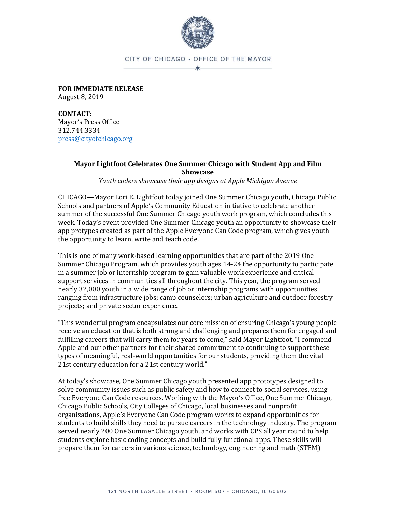

## CITY OF CHICAGO . OFFICE OF THE MAYOR \*

**FOR IMMEDIATE RELEASE** August 8, 2019

**CONTACT:** Mayor's Press Office 312.744.3334 [press@cityofchicago.org](mailto:press@cityofchicago.org)

## **Mayor Lightfoot Celebrates One Summer Chicago with Student App and Film Showcase**

*Youth coders showcase their app designs at Apple Michigan Avenue*

CHICAGO—Mayor Lori E. Lightfoot today joined One Summer Chicago youth, Chicago Public Schools and partners of Apple's Community Education initiative to celebrate another summer of the successful One Summer Chicago youth work program, which concludes this week. Today's event provided One Summer Chicago youth an opportunity to showcase their app protypes created as part of the Apple Everyone Can Code program, which gives youth the opportunity to learn, write and teach code.

This is one of many work-based learning opportunities that are part of the 2019 One Summer Chicago Program, which provides youth ages 14-24 the opportunity to participate in a summer job or internship program to gain valuable work experience and critical support services in communities all throughout the city. This year, the program served nearly 32,000 youth in a wide range of job or internship programs with opportunities ranging from infrastructure jobs; camp counselors; urban agriculture and outdoor forestry projects; and private sector experience.

"This wonderful program encapsulates our core mission of ensuring Chicago's young people receive an education that is both strong and challenging and prepares them for engaged and fulfilling careers that will carry them for years to come," said Mayor Lightfoot. "I commend Apple and our other partners for their shared commitment to continuing to support these types of meaningful, real-world opportunities for our students, providing them the vital 21st century education for a 21st century world."

At today's showcase, One Summer Chicago youth presented app prototypes designed to solve community issues such as public safety and how to connect to social services, using free Everyone Can Code resources. Working with the Mayor's Office, One Summer Chicago, Chicago Public Schools, City Colleges of Chicago, local businesses and nonprofit organizations, Apple's Everyone Can Code program works to expand opportunities for students to build skills they need to pursue careers in the technology industry. The program served nearly 200 One Summer Chicago youth, and works with CPS all year round to help students explore basic coding concepts and build fully functional apps. These skills will prepare them for careers in various science, technology, engineering and math (STEM)